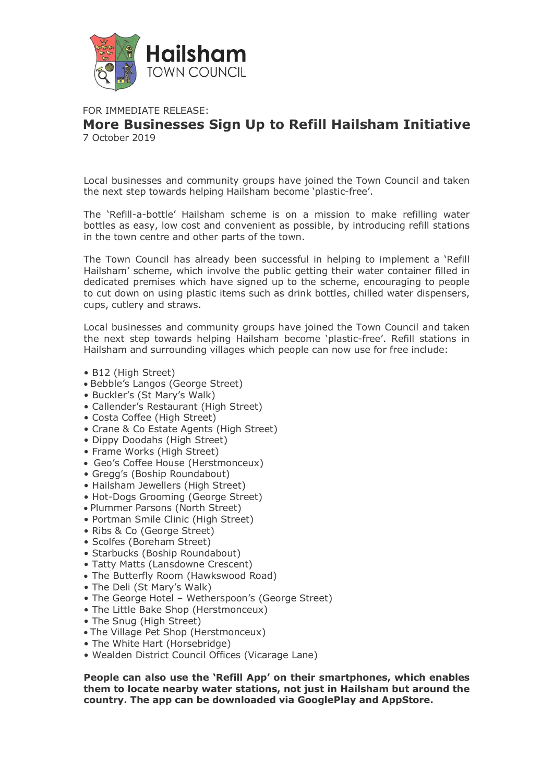

## FOR IMMEDIATE RELEASE: **More Businesses Sign Up to Refill Hailsham Initiative** 7 October 2019

Local businesses and community groups have joined the Town Council and taken the next step towards helping Hailsham become 'plastic-free'.

The 'Refill-a-bottle' Hailsham scheme is on a mission to make refilling water bottles as easy, low cost and convenient as possible, by introducing refill stations in the town centre and other parts of the town.

The Town Council has already been successful in helping to implement a 'Refill Hailsham' scheme, which involve the public getting their water container filled in dedicated premises which have signed up to the scheme, encouraging to people to cut down on using plastic items such as drink bottles, chilled water dispensers, cups, cutlery and straws.

Local businesses and community groups have joined the Town Council and taken the next step towards helping Hailsham become 'plastic-free'. Refill stations in Hailsham and surrounding villages which people can now use for free include:

- B12 (High Street)
- Bebble's Langos (George Street)
- Buckler's (St Mary's Walk)
- Callender's Restaurant (High Street)
- Costa Coffee (High Street)
- Crane & Co Estate Agents (High Street)
- Dippy Doodahs (High Street)
- Frame Works (High Street)
- Geo's Coffee House (Herstmonceux)
- Gregg's (Boship Roundabout)
- Hailsham Jewellers (High Street)
- Hot-Dogs Grooming (George Street)
- Plummer Parsons (North Street)
- Portman Smile Clinic (High Street)
- Ribs & Co (George Street)
- Scolfes (Boreham Street)
- Starbucks (Boship Roundabout)
- Tatty Matts (Lansdowne Crescent)
- The Butterfly Room (Hawkswood Road)
- The Deli (St Mary's Walk)
- The George Hotel Wetherspoon's (George Street)
- The Little Bake Shop (Herstmonceux)
- The Snug (High Street)
- The Village Pet Shop (Herstmonceux)
- The White Hart (Horsebridge)
- Wealden District Council Offices (Vicarage Lane)

**People can also use the 'Refill App' on their smartphones, which enables them to locate nearby water stations, not just in Hailsham but around the country. The app can be downloaded via GooglePlay and AppStore.**